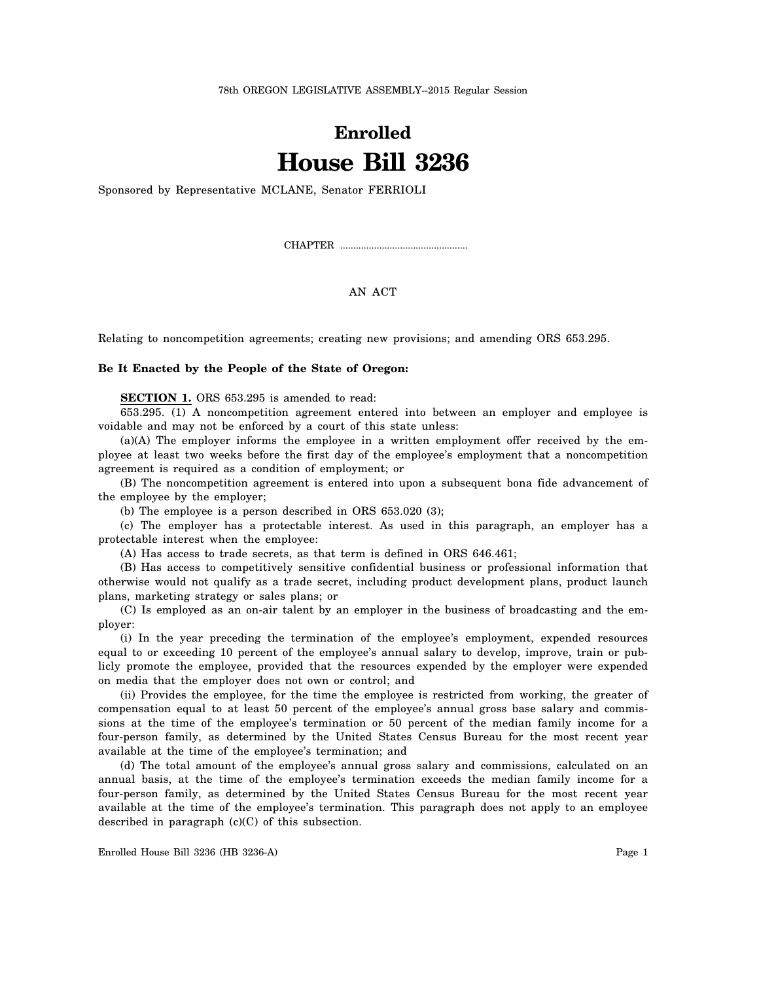78th OREGON LEGISLATIVE ASSEMBLY--2015 Regular Session

## **Enrolled House Bill 3236**

Sponsored by Representative MCLANE, Senator FERRIOLI

CHAPTER .................................................

AN ACT

Relating to noncompetition agreements; creating new provisions; and amending ORS 653.295.

## **Be It Enacted by the People of the State of Oregon:**

**SECTION 1.** ORS 653.295 is amended to read:

653.295. (1) A noncompetition agreement entered into between an employer and employee is voidable and may not be enforced by a court of this state unless:

(a)(A) The employer informs the employee in a written employment offer received by the employee at least two weeks before the first day of the employee's employment that a noncompetition agreement is required as a condition of employment; or

(B) The noncompetition agreement is entered into upon a subsequent bona fide advancement of the employee by the employer;

(b) The employee is a person described in ORS 653.020 (3);

(c) The employer has a protectable interest. As used in this paragraph, an employer has a protectable interest when the employee:

(A) Has access to trade secrets, as that term is defined in ORS 646.461;

(B) Has access to competitively sensitive confidential business or professional information that otherwise would not qualify as a trade secret, including product development plans, product launch plans, marketing strategy or sales plans; or

(C) Is employed as an on-air talent by an employer in the business of broadcasting and the employer:

(i) In the year preceding the termination of the employee's employment, expended resources equal to or exceeding 10 percent of the employee's annual salary to develop, improve, train or publicly promote the employee, provided that the resources expended by the employer were expended on media that the employer does not own or control; and

(ii) Provides the employee, for the time the employee is restricted from working, the greater of compensation equal to at least 50 percent of the employee's annual gross base salary and commissions at the time of the employee's termination or 50 percent of the median family income for a four-person family, as determined by the United States Census Bureau for the most recent year available at the time of the employee's termination; and

(d) The total amount of the employee's annual gross salary and commissions, calculated on an annual basis, at the time of the employee's termination exceeds the median family income for a four-person family, as determined by the United States Census Bureau for the most recent year available at the time of the employee's termination. This paragraph does not apply to an employee described in paragraph (c)(C) of this subsection.

Enrolled House Bill 3236 (HB 3236-A) Page 1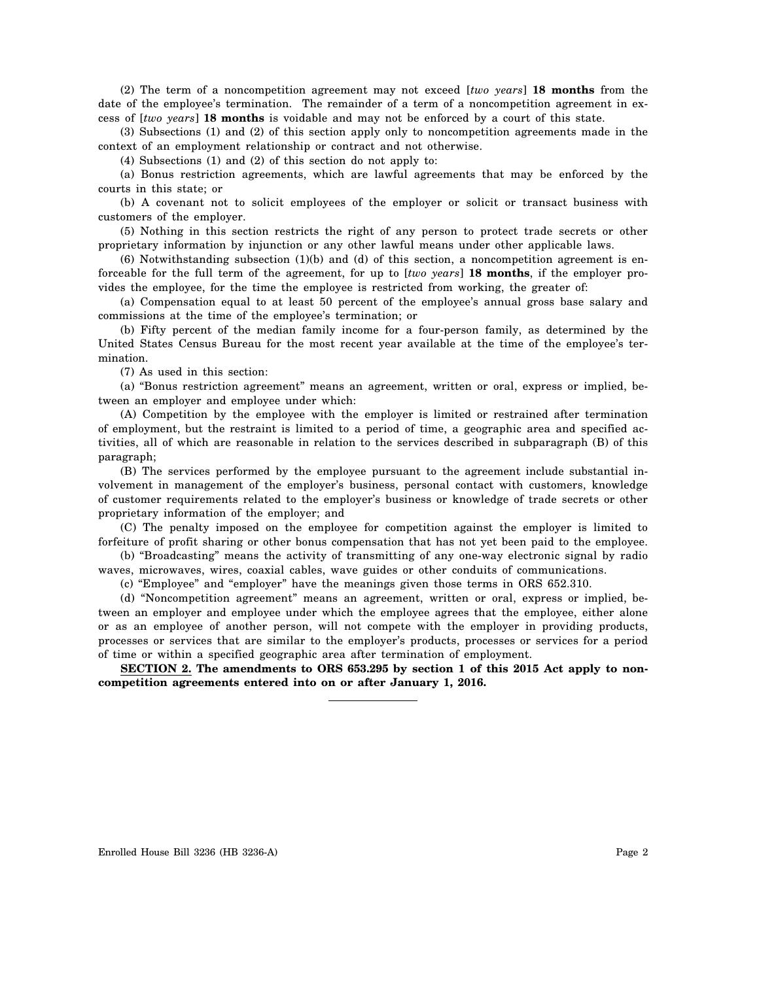(2) The term of a noncompetition agreement may not exceed [*two years*] **18 months** from the date of the employee's termination. The remainder of a term of a noncompetition agreement in excess of [*two years*] **18 months** is voidable and may not be enforced by a court of this state.

(3) Subsections (1) and (2) of this section apply only to noncompetition agreements made in the context of an employment relationship or contract and not otherwise.

(4) Subsections (1) and (2) of this section do not apply to:

(a) Bonus restriction agreements, which are lawful agreements that may be enforced by the courts in this state; or

(b) A covenant not to solicit employees of the employer or solicit or transact business with customers of the employer.

(5) Nothing in this section restricts the right of any person to protect trade secrets or other proprietary information by injunction or any other lawful means under other applicable laws.

(6) Notwithstanding subsection (1)(b) and (d) of this section, a noncompetition agreement is enforceable for the full term of the agreement, for up to [*two years*] **18 months**, if the employer provides the employee, for the time the employee is restricted from working, the greater of:

(a) Compensation equal to at least 50 percent of the employee's annual gross base salary and commissions at the time of the employee's termination; or

(b) Fifty percent of the median family income for a four-person family, as determined by the United States Census Bureau for the most recent year available at the time of the employee's termination.

(7) As used in this section:

(a) "Bonus restriction agreement" means an agreement, written or oral, express or implied, between an employer and employee under which:

(A) Competition by the employee with the employer is limited or restrained after termination of employment, but the restraint is limited to a period of time, a geographic area and specified activities, all of which are reasonable in relation to the services described in subparagraph (B) of this paragraph;

(B) The services performed by the employee pursuant to the agreement include substantial involvement in management of the employer's business, personal contact with customers, knowledge of customer requirements related to the employer's business or knowledge of trade secrets or other proprietary information of the employer; and

(C) The penalty imposed on the employee for competition against the employer is limited to forfeiture of profit sharing or other bonus compensation that has not yet been paid to the employee.

(b) "Broadcasting" means the activity of transmitting of any one-way electronic signal by radio waves, microwaves, wires, coaxial cables, wave guides or other conduits of communications.

(c) "Employee" and "employer" have the meanings given those terms in ORS 652.310.

(d) "Noncompetition agreement" means an agreement, written or oral, express or implied, between an employer and employee under which the employee agrees that the employee, either alone or as an employee of another person, will not compete with the employer in providing products, processes or services that are similar to the employer's products, processes or services for a period of time or within a specified geographic area after termination of employment.

**SECTION 2. The amendments to ORS 653.295 by section 1 of this 2015 Act apply to noncompetition agreements entered into on or after January 1, 2016.**